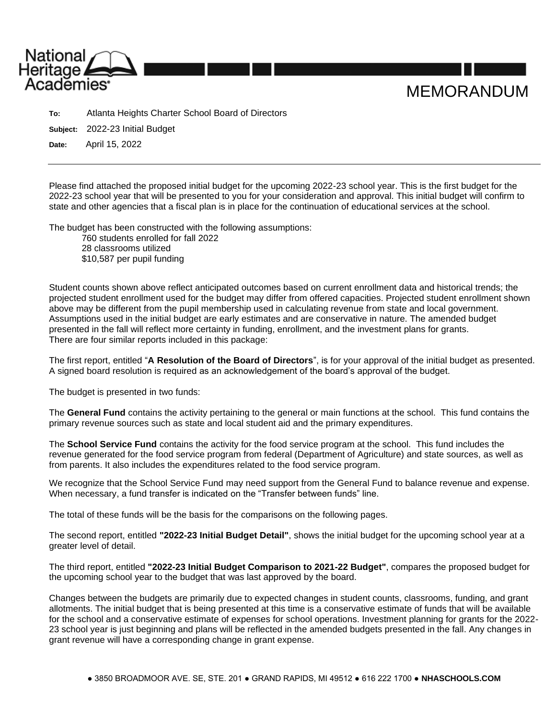

**To:** Atlanta Heights Charter School Board of Directors

**Subject:** 2022-23 Initial Budget

**Date:** April 15, 2022

Please find attached the proposed initial budget for the upcoming 2022-23 school year. This is the first budget for the 2022-23 school year that will be presented to you for your consideration and approval. This initial budget will confirm to state and other agencies that a fiscal plan is in place for the continuation of educational services at the school.

The budget has been constructed with the following assumptions:

760 students enrolled for fall 2022 28 classrooms utilized \$10,587 per pupil funding

Student counts shown above reflect anticipated outcomes based on current enrollment data and historical trends; the projected student enrollment used for the budget may differ from offered capacities. Projected student enrollment shown above may be different from the pupil membership used in calculating revenue from state and local government. Assumptions used in the initial budget are early estimates and are conservative in nature. The amended budget presented in the fall will reflect more certainty in funding, enrollment, and the investment plans for grants. There are four similar reports included in this package:

The first report, entitled "**A Resolution of the Board of Directors**", is for your approval of the initial budget as presented. A signed board resolution is required as an acknowledgement of the board's approval of the budget.

The budget is presented in two funds:

The **General Fund** contains the activity pertaining to the general or main functions at the school. This fund contains the primary revenue sources such as state and local student aid and the primary expenditures.

The **School Service Fund** contains the activity for the food service program at the school. This fund includes the revenue generated for the food service program from federal (Department of Agriculture) and state sources, as well as from parents. It also includes the expenditures related to the food service program.

We recognize that the School Service Fund may need support from the General Fund to balance revenue and expense. When necessary, a fund transfer is indicated on the "Transfer between funds" line.

The total of these funds will be the basis for the comparisons on the following pages.

The second report, entitled **"2022-23 Initial Budget Detail"**, shows the initial budget for the upcoming school year at a greater level of detail.

The third report, entitled **"2022-23 Initial Budget Comparison to 2021-22 Budget"**, compares the proposed budget for the upcoming school year to the budget that was last approved by the board.

Changes between the budgets are primarily due to expected changes in student counts, classrooms, funding, and grant allotments. The initial budget that is being presented at this time is a conservative estimate of funds that will be available for the school and a conservative estimate of expenses for school operations. Investment planning for grants for the 2022- 23 school year is just beginning and plans will be reflected in the amended budgets presented in the fall. Any changes in grant revenue will have a corresponding change in grant expense.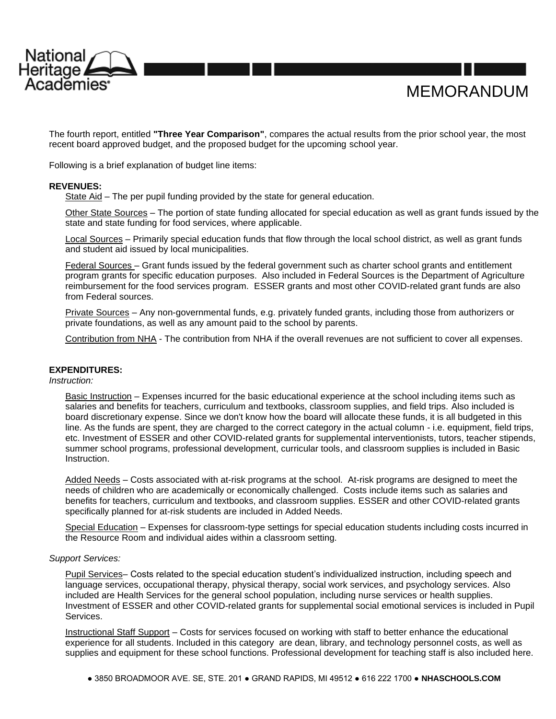

The fourth report, entitled **"Three Year Comparison"**, compares the actual results from the prior school year, the most recent board approved budget, and the proposed budget for the upcoming school year.

MEMORANDUM

Following is a brief explanation of budget line items:

# **REVENUES:**

State Aid – The per pupil funding provided by the state for general education.

Other State Sources – The portion of state funding allocated for special education as well as grant funds issued by the state and state funding for food services, where applicable.

Local Sources – Primarily special education funds that flow through the local school district, as well as grant funds and student aid issued by local municipalities.

Federal Sources – Grant funds issued by the federal government such as charter school grants and entitlement program grants for specific education purposes. Also included in Federal Sources is the Department of Agriculture reimbursement for the food services program. ESSER grants and most other COVID-related grant funds are also from Federal sources.

Private Sources – Any non-governmental funds, e.g. privately funded grants, including those from authorizers or private foundations, as well as any amount paid to the school by parents.

Contribution from NHA - The contribution from NHA if the overall revenues are not sufficient to cover all expenses.

# **EXPENDITURES:**

*Instruction:*

Basic Instruction – Expenses incurred for the basic educational experience at the school including items such as salaries and benefits for teachers, curriculum and textbooks, classroom supplies, and field trips. Also included is board discretionary expense. Since we don't know how the board will allocate these funds, it is all budgeted in this line. As the funds are spent, they are charged to the correct category in the actual column - i.e. equipment, field trips, etc. Investment of ESSER and other COVID-related grants for supplemental interventionists, tutors, teacher stipends, summer school programs, professional development, curricular tools, and classroom supplies is included in Basic **Instruction** 

Added Needs – Costs associated with at-risk programs at the school. At-risk programs are designed to meet the needs of children who are academically or economically challenged. Costs include items such as salaries and benefits for teachers, curriculum and textbooks, and classroom supplies. ESSER and other COVID-related grants specifically planned for at-risk students are included in Added Needs.

Special Education – Expenses for classroom-type settings for special education students including costs incurred in the Resource Room and individual aides within a classroom setting.

# *Support Services:*

Pupil Services– Costs related to the special education student's individualized instruction, including speech and language services, occupational therapy, physical therapy, social work services, and psychology services. Also included are Health Services for the general school population, including nurse services or health supplies. Investment of ESSER and other COVID-related grants for supplemental social emotional services is included in Pupil Services.

Instructional Staff Support – Costs for services focused on working with staff to better enhance the educational experience for all students. Included in this category are dean, library, and technology personnel costs, as well as supplies and equipment for these school functions. Professional development for teaching staff is also included here.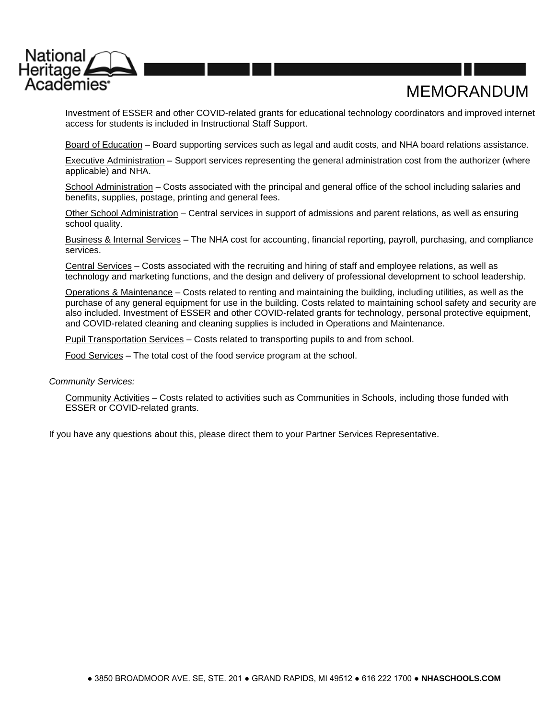

# MEMORANDUM

Investment of ESSER and other COVID-related grants for educational technology coordinators and improved internet access for students is included in Instructional Staff Support.

Board of Education – Board supporting services such as legal and audit costs, and NHA board relations assistance.

Executive Administration – Support services representing the general administration cost from the authorizer (where applicable) and NHA.

School Administration – Costs associated with the principal and general office of the school including salaries and benefits, supplies, postage, printing and general fees.

Other School Administration – Central services in support of admissions and parent relations, as well as ensuring school quality.

Business & Internal Services – The NHA cost for accounting, financial reporting, payroll, purchasing, and compliance services.

Central Services – Costs associated with the recruiting and hiring of staff and employee relations, as well as technology and marketing functions, and the design and delivery of professional development to school leadership.

Operations & Maintenance – Costs related to renting and maintaining the building, including utilities, as well as the purchase of any general equipment for use in the building. Costs related to maintaining school safety and security are also included. Investment of ESSER and other COVID-related grants for technology, personal protective equipment, and COVID-related cleaning and cleaning supplies is included in Operations and Maintenance.

Pupil Transportation Services – Costs related to transporting pupils to and from school.

Food Services – The total cost of the food service program at the school.

*Community Services:*

Community Activities – Costs related to activities such as Communities in Schools, including those funded with ESSER or COVID-related grants.

If you have any questions about this, please direct them to your Partner Services Representative.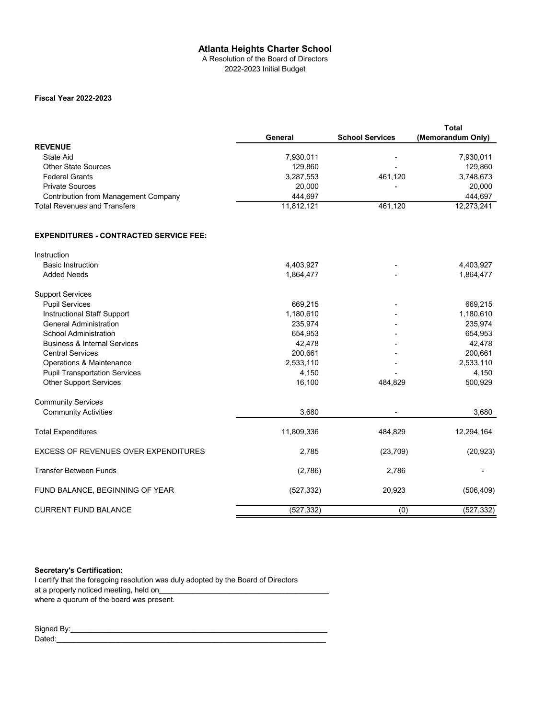A Resolution of the Board of Directors 2022-2023 Initial Budget

## **Fiscal Year 2022-2023**

|                                             |            |                        | Total             |
|---------------------------------------------|------------|------------------------|-------------------|
|                                             | General    | <b>School Services</b> | (Memorandum Only) |
| <b>REVENUE</b>                              |            |                        |                   |
| State Aid                                   | 7,930,011  | -                      | 7,930,011         |
| <b>Other State Sources</b>                  | 129.860    | -                      | 129,860           |
| <b>Federal Grants</b>                       | 3,287,553  | 461.120                | 3,748,673         |
| <b>Private Sources</b>                      | 20,000     | ٠                      | 20,000            |
| <b>Contribution from Management Company</b> | 444.697    |                        | 444.697           |
| <b>Total Revenues and Transfers</b>         | 11,812,121 | 461,120                | 12,273,241        |

#### **EXPENDITURES - CONTRACTED SERVICE FEE:**

| Instruction                                 |            |           |            |
|---------------------------------------------|------------|-----------|------------|
| <b>Basic Instruction</b>                    | 4,403,927  |           | 4,403,927  |
| <b>Added Needs</b>                          | 1,864,477  |           | 1,864,477  |
| <b>Support Services</b>                     |            |           |            |
| <b>Pupil Services</b>                       | 669,215    |           | 669,215    |
| Instructional Staff Support                 | 1,180,610  |           | 1,180,610  |
| <b>General Administration</b>               | 235,974    |           | 235,974    |
| <b>School Administration</b>                | 654,953    |           | 654,953    |
| <b>Business &amp; Internal Services</b>     | 42,478     |           | 42,478     |
| <b>Central Services</b>                     | 200,661    |           | 200,661    |
| Operations & Maintenance                    | 2,533,110  |           | 2,533,110  |
| <b>Pupil Transportation Services</b>        | 4,150      |           | 4,150      |
| <b>Other Support Services</b>               | 16,100     | 484,829   | 500,929    |
| <b>Community Services</b>                   |            |           |            |
| <b>Community Activities</b>                 | 3,680      |           | 3,680      |
| <b>Total Expenditures</b>                   | 11,809,336 | 484,829   | 12,294,164 |
| <b>EXCESS OF REVENUES OVER EXPENDITURES</b> | 2,785      | (23, 709) | (20, 923)  |
| <b>Transfer Between Funds</b>               | (2,786)    | 2,786     |            |
| FUND BALANCE, BEGINNING OF YEAR             | (527, 332) | 20,923    | (506, 409) |
| <b>CURRENT FUND BALANCE</b>                 | (527, 332) | (0)       | (527, 332) |

## **Secretary's Certification:**

I certify that the foregoing resolution was duly adopted by the Board of Directors at a properly noticed meeting, held on where a quorum of the board was present.

Signed By:\_\_\_\_\_\_\_\_\_\_\_\_\_\_\_\_\_\_\_\_\_\_\_\_\_\_\_\_\_\_\_\_\_\_\_\_\_\_\_\_\_\_\_\_\_\_\_\_\_\_\_\_\_\_\_\_\_\_\_\_\_\_ Dated:\_\_\_\_\_\_\_\_\_\_\_\_\_\_\_\_\_\_\_\_\_\_\_\_\_\_\_\_\_\_\_\_\_\_\_\_\_\_\_\_\_\_\_\_\_\_\_\_\_\_\_\_\_\_\_\_\_\_\_\_\_\_\_\_\_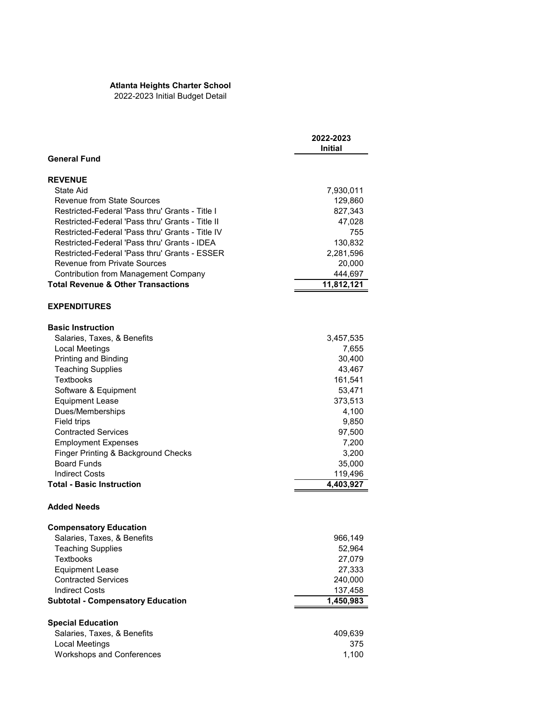2022-2023 Initial Budget Detail

|                                                  | 2022-2023<br>Initial |
|--------------------------------------------------|----------------------|
| <b>General Fund</b>                              |                      |
| <b>REVENUE</b>                                   |                      |
| State Aid                                        | 7,930,011            |
| <b>Revenue from State Sources</b>                | 129,860              |
| Restricted-Federal 'Pass thru' Grants - Title I  | 827,343              |
| Restricted-Federal 'Pass thru' Grants - Title II | 47,028               |
| Restricted-Federal 'Pass thru' Grants - Title IV | 755                  |
| Restricted-Federal 'Pass thru' Grants - IDEA     | 130,832              |
| Restricted-Federal 'Pass thru' Grants - ESSER    | 2,281,596            |
| <b>Revenue from Private Sources</b>              | 20,000               |
| Contribution from Management Company             | 444,697              |
| <b>Total Revenue &amp; Other Transactions</b>    | 11,812,121           |
| <b>EXPENDITURES</b>                              |                      |
| <b>Basic Instruction</b>                         |                      |
| Salaries, Taxes, & Benefits                      | 3,457,535            |
| Local Meetings                                   | 7,655                |
| Printing and Binding                             | 30,400               |
| <b>Teaching Supplies</b>                         | 43,467               |
| <b>Textbooks</b>                                 | 161,541              |
| Software & Equipment                             | 53,471               |
| <b>Equipment Lease</b>                           | 373,513              |
| Dues/Memberships                                 | 4,100                |
| Field trips                                      | 9,850                |
| <b>Contracted Services</b>                       | 97,500               |
| <b>Employment Expenses</b>                       | 7,200                |
| Finger Printing & Background Checks              | 3,200                |
| <b>Board Funds</b>                               | 35,000               |
| <b>Indirect Costs</b>                            | 119,496              |
| <b>Total - Basic Instruction</b>                 | 4,403,927            |
| <b>Added Needs</b>                               |                      |
| <b>Compensatory Education</b>                    |                      |
| Salaries, Taxes, & Benefits                      | 966,149              |
| <b>Teaching Supplies</b>                         | 52,964               |
| <b>Textbooks</b>                                 | 27,079               |
| <b>Equipment Lease</b>                           | 27,333               |
| <b>Contracted Services</b>                       | 240,000              |
| <b>Indirect Costs</b>                            | 137,458              |
| <b>Subtotal - Compensatory Education</b>         | 1,450,983            |
| <b>Special Education</b>                         |                      |
| Salaries, Taxes, & Benefits                      | 409,639              |
| Local Meetings                                   | 375                  |
| <b>Workshops and Conferences</b>                 | 1,100                |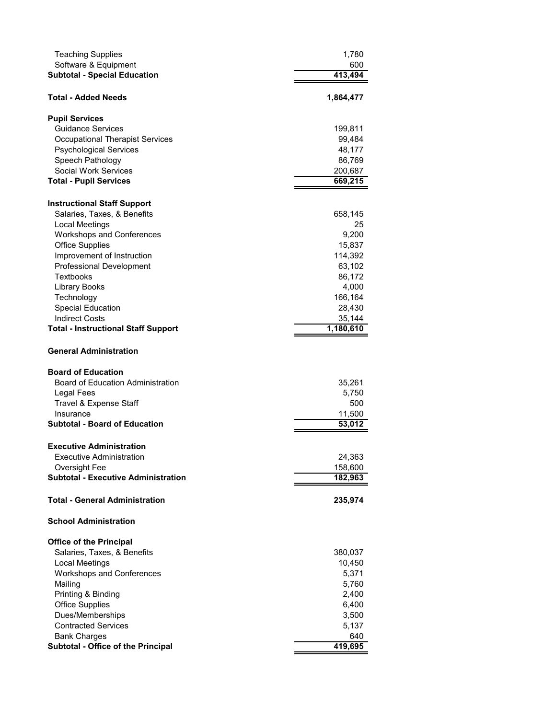| <b>Teaching Supplies</b><br>Software & Equipment<br><b>Subtotal - Special Education</b> | 1,780<br>600<br>413,494 |
|-----------------------------------------------------------------------------------------|-------------------------|
| Total - Added Needs                                                                     | 1,864,477               |
| <b>Pupil Services</b>                                                                   |                         |
| <b>Guidance Services</b>                                                                | 199,811                 |
| <b>Occupational Therapist Services</b>                                                  | 99,484                  |
| <b>Psychological Services</b>                                                           | 48,177                  |
| Speech Pathology                                                                        | 86,769                  |
| Social Work Services                                                                    | 200,687                 |
| <b>Total - Pupil Services</b>                                                           | 669,215                 |
|                                                                                         |                         |
| <b>Instructional Staff Support</b>                                                      |                         |
| Salaries, Taxes, & Benefits                                                             | 658,145                 |
| <b>Local Meetings</b>                                                                   | 25                      |
| <b>Workshops and Conferences</b>                                                        | 9,200                   |
| <b>Office Supplies</b>                                                                  | 15,837                  |
| Improvement of Instruction                                                              | 114,392                 |
| Professional Development                                                                | 63,102                  |
| Textbooks                                                                               | 86,172                  |
| <b>Library Books</b>                                                                    | 4,000                   |
| Technology                                                                              | 166,164                 |
| <b>Special Education</b>                                                                | 28,430                  |
| <b>Indirect Costs</b>                                                                   | 35,144                  |
| <b>Total - Instructional Staff Support</b>                                              | 1,180,610               |
| <b>General Administration</b>                                                           |                         |
| <b>Board of Education</b>                                                               |                         |
| <b>Board of Education Administration</b>                                                | 35,261                  |
| <b>Legal Fees</b>                                                                       | 5,750                   |
| Travel & Expense Staff                                                                  | 500                     |
| Insurance                                                                               | 11,500                  |
| <b>Subtotal - Board of Education</b>                                                    | 53,012                  |
| <b>Executive Administration</b>                                                         |                         |
| <b>Executive Administration</b>                                                         | 24,363                  |
| Oversight Fee                                                                           | 158,600                 |
| <b>Subtotal - Executive Administration</b>                                              | 182,963                 |
| <b>Total - General Administration</b>                                                   | 235,974                 |
| <b>School Administration</b>                                                            |                         |
|                                                                                         |                         |
| <b>Office of the Principal</b>                                                          |                         |
| Salaries, Taxes, & Benefits                                                             | 380,037                 |
| Local Meetings                                                                          | 10,450                  |
| <b>Workshops and Conferences</b>                                                        | 5,371                   |
| Mailing                                                                                 | 5,760                   |
| Printing & Binding                                                                      | 2,400                   |
| <b>Office Supplies</b>                                                                  | 6,400                   |
| Dues/Memberships                                                                        | 3,500                   |
| <b>Contracted Services</b>                                                              | 5,137                   |
| <b>Bank Charges</b>                                                                     | 640                     |
| <b>Subtotal - Office of the Principal</b>                                               | 419,695                 |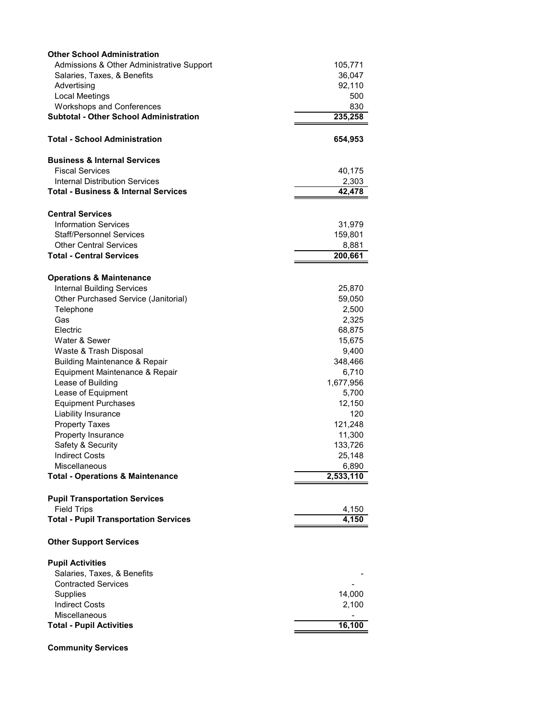| <b>Other School Administration</b>                                 |           |
|--------------------------------------------------------------------|-----------|
| Admissions & Other Administrative Support                          | 105,771   |
| Salaries, Taxes, & Benefits                                        | 36,047    |
| Advertising                                                        | 92,110    |
| Local Meetings                                                     | 500       |
| <b>Workshops and Conferences</b>                                   | 830       |
| <b>Subtotal - Other School Administration</b>                      | 235,258   |
|                                                                    |           |
| <b>Total - School Administration</b>                               | 654,953   |
|                                                                    |           |
| <b>Business &amp; Internal Services</b>                            |           |
| <b>Fiscal Services</b>                                             | 40,175    |
| <b>Internal Distribution Services</b>                              | 2,303     |
| <b>Total - Business &amp; Internal Services</b>                    | 42,478    |
|                                                                    |           |
| <b>Central Services</b>                                            |           |
| <b>Information Services</b>                                        | 31,979    |
| <b>Staff/Personnel Services</b>                                    | 159,801   |
| <b>Other Central Services</b>                                      | 8,881     |
| <b>Total - Central Services</b>                                    | 200,661   |
|                                                                    |           |
| <b>Operations &amp; Maintenance</b>                                |           |
| <b>Internal Building Services</b>                                  | 25,870    |
| Other Purchased Service (Janitorial)                               | 59,050    |
| Telephone                                                          | 2,500     |
| Gas                                                                | 2,325     |
| Electric                                                           | 68,875    |
| Water & Sewer                                                      | 15,675    |
| Waste & Trash Disposal                                             | 9,400     |
| <b>Building Maintenance &amp; Repair</b>                           | 348,466   |
| Equipment Maintenance & Repair                                     | 6,710     |
| Lease of Building                                                  | 1,677,956 |
| Lease of Equipment                                                 | 5,700     |
| <b>Equipment Purchases</b>                                         | 12,150    |
| Liability Insurance                                                | 120       |
| <b>Property Taxes</b>                                              | 121,248   |
| Property Insurance                                                 | 11,300    |
| Safety & Security                                                  | 133,726   |
| <b>Indirect Costs</b>                                              | 25,148    |
| Miscellaneous                                                      | 6,890     |
| <b>Total - Operations &amp; Maintenance</b>                        | 2,533,110 |
|                                                                    |           |
| <b>Pupil Transportation Services</b>                               |           |
| <b>Field Trips</b><br><b>Total - Pupil Transportation Services</b> | 4,150     |
|                                                                    | 4,150     |
| <b>Other Support Services</b>                                      |           |
|                                                                    |           |
| <b>Pupil Activities</b>                                            |           |
| Salaries, Taxes, & Benefits                                        |           |
| <b>Contracted Services</b>                                         |           |
| <b>Supplies</b>                                                    | 14,000    |
| <b>Indirect Costs</b>                                              | 2,100     |
| Miscellaneous                                                      |           |
| <b>Total - Pupil Activities</b>                                    | 16,100    |
|                                                                    |           |

**Community Services**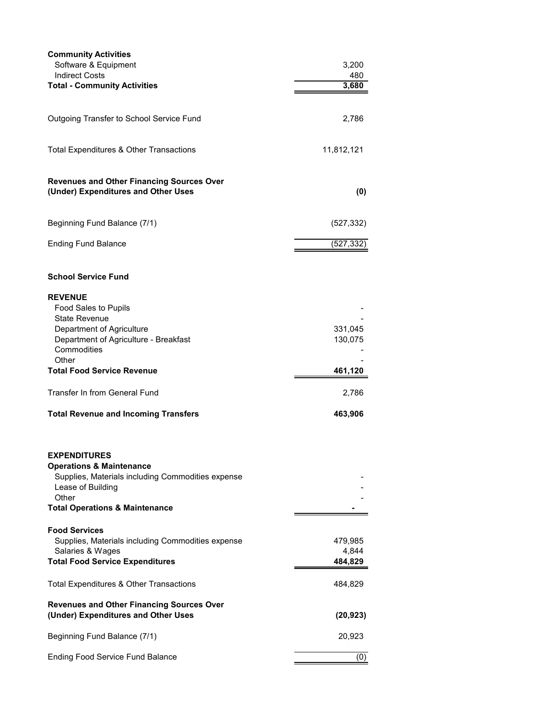| <b>Community Activities</b><br>Software & Equipment<br><b>Indirect Costs</b>                                                                                                               | 3,200<br>480                |
|--------------------------------------------------------------------------------------------------------------------------------------------------------------------------------------------|-----------------------------|
| <b>Total - Community Activities</b>                                                                                                                                                        | 3,680                       |
| Outgoing Transfer to School Service Fund                                                                                                                                                   | 2,786                       |
| Total Expenditures & Other Transactions                                                                                                                                                    | 11,812,121                  |
| <b>Revenues and Other Financing Sources Over</b><br>(Under) Expenditures and Other Uses                                                                                                    | (0)                         |
| Beginning Fund Balance (7/1)                                                                                                                                                               | (527, 332)                  |
| <b>Ending Fund Balance</b>                                                                                                                                                                 | (527, 332)                  |
| <b>School Service Fund</b>                                                                                                                                                                 |                             |
| <b>REVENUE</b><br><b>Food Sales to Pupils</b><br><b>State Revenue</b><br>Department of Agriculture<br>Department of Agriculture - Breakfast<br>Commodities                                 | 331,045<br>130,075          |
| Other<br><b>Total Food Service Revenue</b>                                                                                                                                                 | 461,120                     |
| <b>Transfer In from General Fund</b>                                                                                                                                                       | 2,786                       |
| <b>Total Revenue and Incoming Transfers</b>                                                                                                                                                | 463,906                     |
| <b>EXPENDITURES</b><br><b>Operations &amp; Maintenance</b><br>Supplies, Materials including Commodities expense<br>Lease of Building<br>Other<br><b>Total Operations &amp; Maintenance</b> |                             |
| <b>Food Services</b><br>Supplies, Materials including Commodities expense<br>Salaries & Wages<br><b>Total Food Service Expenditures</b>                                                    | 479,985<br>4,844<br>484,829 |
| Total Expenditures & Other Transactions                                                                                                                                                    | 484,829                     |
| <b>Revenues and Other Financing Sources Over</b><br>(Under) Expenditures and Other Uses                                                                                                    | (20, 923)                   |
| Beginning Fund Balance (7/1)                                                                                                                                                               | 20,923                      |
| <b>Ending Food Service Fund Balance</b>                                                                                                                                                    | (0)                         |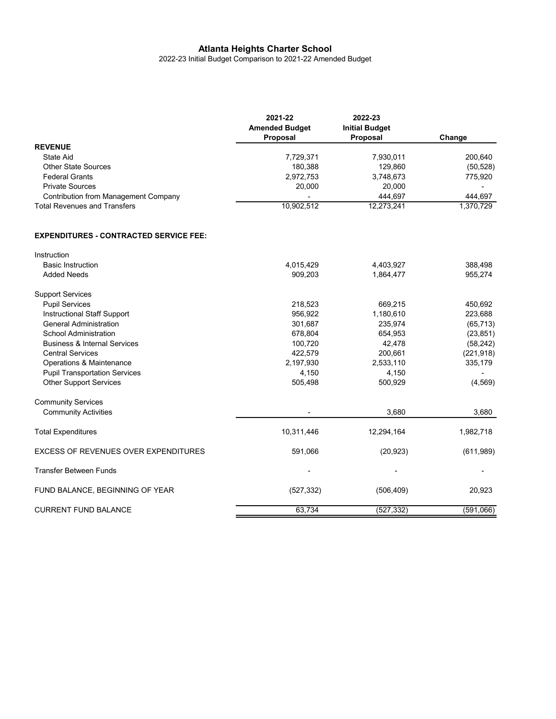2022-23 Initial Budget Comparison to 2021-22 Amended Budget

|                                             | 2021-22<br><b>Amended Budget</b><br>Proposal | 2022-23<br><b>Initial Budget</b><br><b>Proposal</b> | Change    |
|---------------------------------------------|----------------------------------------------|-----------------------------------------------------|-----------|
| <b>REVENUE</b>                              |                                              |                                                     |           |
| State Aid                                   | 7.729.371                                    | 7.930.011                                           | 200.640   |
| Other State Sources                         | 180,388                                      | 129,860                                             | (50, 528) |
| <b>Federal Grants</b>                       | 2,972,753                                    | 3,748,673                                           | 775,920   |
| <b>Private Sources</b>                      | 20,000                                       | 20,000                                              |           |
| <b>Contribution from Management Company</b> | $\overline{\phantom{a}}$                     | 444.697                                             | 444.697   |
| <b>Total Revenues and Transfers</b>         | 10.902.512                                   | 12,273,241                                          | 1,370,729 |

#### **EXPENDITURES - CONTRACTED SERVICE FEE:**

| Instruction                                 |            |            |            |
|---------------------------------------------|------------|------------|------------|
| <b>Basic Instruction</b>                    | 4,015,429  | 4,403,927  | 388,498    |
| <b>Added Needs</b>                          | 909,203    | 1,864,477  | 955,274    |
| <b>Support Services</b>                     |            |            |            |
| <b>Pupil Services</b>                       | 218,523    | 669,215    | 450,692    |
| Instructional Staff Support                 | 956.922    | 1,180,610  | 223,688    |
| <b>General Administration</b>               | 301,687    | 235,974    | (65, 713)  |
| <b>School Administration</b>                | 678,804    | 654,953    | (23, 851)  |
| <b>Business &amp; Internal Services</b>     | 100,720    | 42,478     | (58, 242)  |
| <b>Central Services</b>                     | 422.579    | 200,661    | (221, 918) |
| Operations & Maintenance                    | 2,197,930  | 2,533,110  | 335,179    |
| <b>Pupil Transportation Services</b>        | 4,150      | 4,150      |            |
| <b>Other Support Services</b>               | 505,498    | 500,929    | (4, 569)   |
| <b>Community Services</b>                   |            |            |            |
| <b>Community Activities</b>                 |            | 3.680      | 3,680      |
| <b>Total Expenditures</b>                   | 10,311,446 | 12,294,164 | 1,982,718  |
| <b>EXCESS OF REVENUES OVER EXPENDITURES</b> | 591,066    | (20, 923)  | (611, 989) |
| <b>Transfer Between Funds</b>               |            |            |            |
| FUND BALANCE, BEGINNING OF YEAR             | (527, 332) | (506, 409) | 20,923     |
| <b>CURRENT FUND BALANCE</b>                 | 63,734     | (527, 332) | (591,066)  |